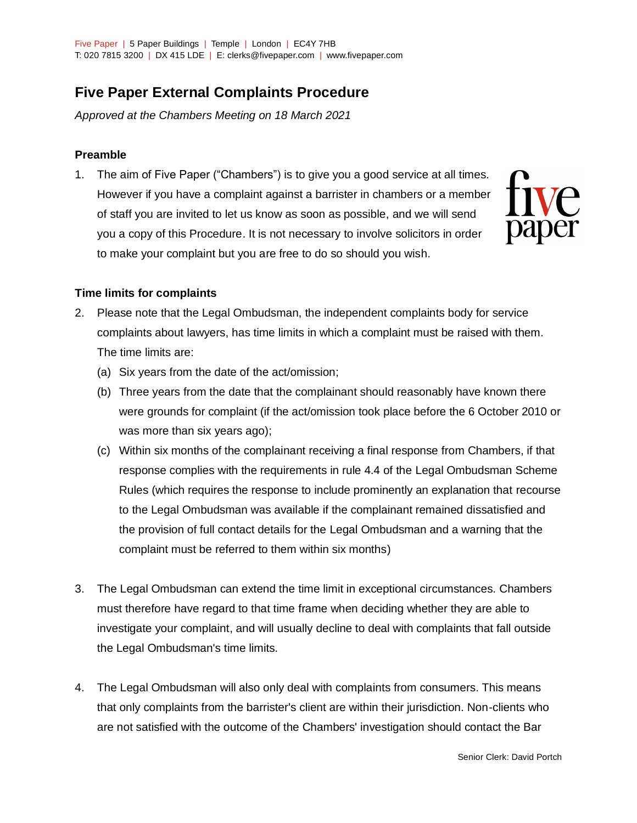# **Five Paper External Complaints Procedure**

*Approved at the Chambers Meeting on 18 March 2021*

## **Preamble**

1. The aim of Five Paper ("Chambers") is to give you a good service at all times. However if you have a complaint against a barrister in chambers or a member of staff you are invited to let us know as soon as possible, and we will send you a copy of this Procedure. It is not necessary to involve solicitors in order to make your complaint but you are free to do so should you wish.



#### **Time limits for complaints**

- 2. Please note that the Legal Ombudsman, the independent complaints body for service complaints about lawyers, has time limits in which a complaint must be raised with them. The time limits are:
	- (a) Six years from the date of the act/omission;
	- (b) Three years from the date that the complainant should reasonably have known there were grounds for complaint (if the act/omission took place before the 6 October 2010 or was more than six years ago);
	- (c) Within six months of the complainant receiving a final response from Chambers, if that response complies with the requirements in rule 4.4 of the Legal Ombudsman Scheme Rules (which requires the response to include prominently an explanation that recourse to the Legal Ombudsman was available if the complainant remained dissatisfied and the provision of full contact details for the Legal Ombudsman and a warning that the complaint must be referred to them within six months)
- 3. The Legal Ombudsman can extend the time limit in exceptional circumstances. Chambers must therefore have regard to that time frame when deciding whether they are able to investigate your complaint, and will usually decline to deal with complaints that fall outside the Legal Ombudsman's time limits.
- 4. The Legal Ombudsman will also only deal with complaints from consumers. This means that only complaints from the barrister's client are within their jurisdiction. Non-clients who are not satisfied with the outcome of the Chambers' investigation should contact the Bar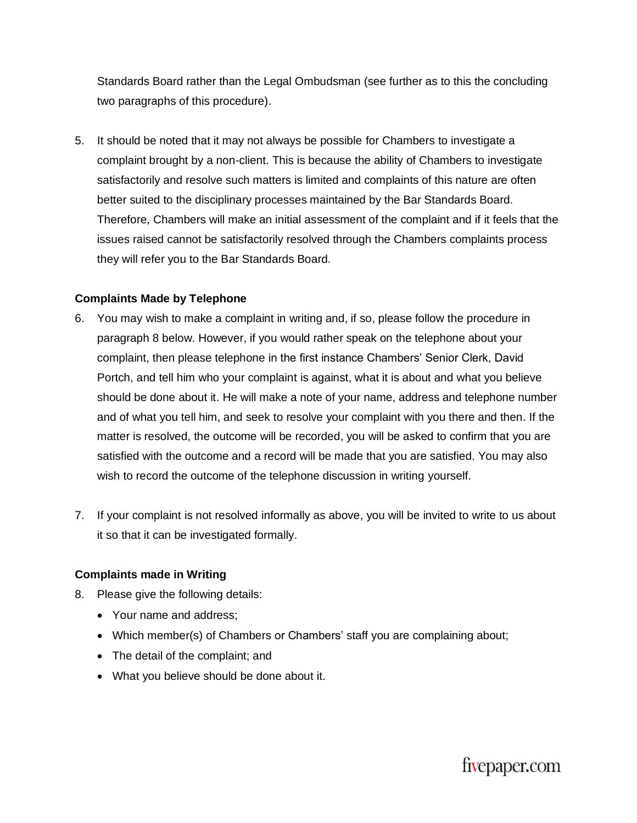Standards Board rather than the Legal Ombudsman (see further as to this the concluding two paragraphs of this procedure).

5. It should be noted that it may not always be possible for Chambers to investigate a complaint brought by a non-client. This is because the ability of Chambers to investigate satisfactorily and resolve such matters is limited and complaints of this nature are often better suited to the disciplinary processes maintained by the Bar Standards Board. Therefore, Chambers will make an initial assessment of the complaint and if it feels that the issues raised cannot be satisfactorily resolved through the Chambers complaints process they will refer you to the Bar Standards Board.

## **Complaints Made by Telephone**

- 6. You may wish to make a complaint in writing and, if so, please follow the procedure in paragraph 8 below. However, if you would rather speak on the telephone about your complaint, then please telephone in the first instance Chambers' Senior Clerk, David Portch, and tell him who your complaint is against, what it is about and what you believe should be done about it. He will make a note of your name, address and telephone number and of what you tell him, and seek to resolve your complaint with you there and then. If the matter is resolved, the outcome will be recorded, you will be asked to confirm that you are satisfied with the outcome and a record will be made that you are satisfied. You may also wish to record the outcome of the telephone discussion in writing yourself.
- 7. If your complaint is not resolved informally as above, you will be invited to write to us about it so that it can be investigated formally.

## **Complaints made in Writing**

- 8. Please give the following details:
	- Your name and address:
	- Which member(s) of Chambers or Chambers' staff you are complaining about;
	- The detail of the complaint; and
	- What you believe should be done about it.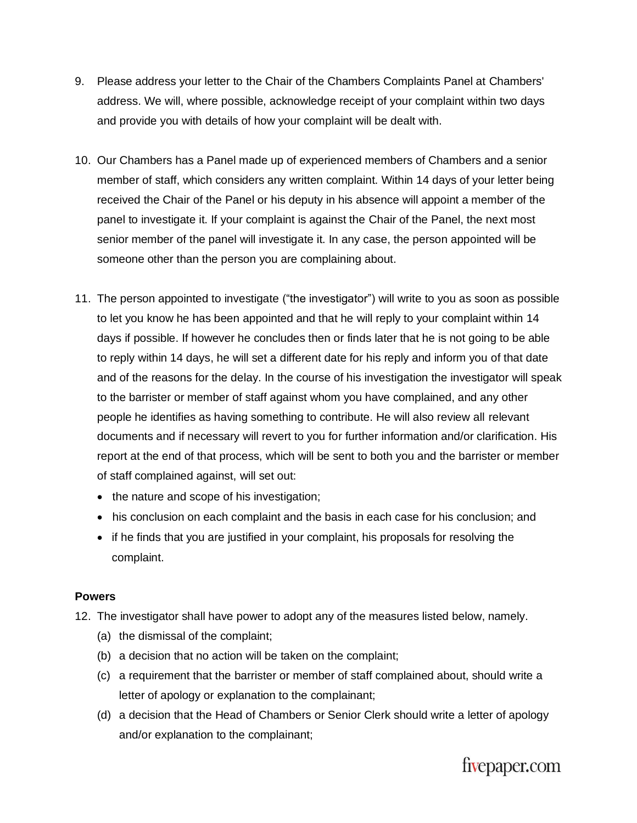- 9. Please address your letter to the Chair of the Chambers Complaints Panel at Chambers' address. We will, where possible, acknowledge receipt of your complaint within two days and provide you with details of how your complaint will be dealt with.
- 10. Our Chambers has a Panel made up of experienced members of Chambers and a senior member of staff, which considers any written complaint. Within 14 days of your letter being received the Chair of the Panel or his deputy in his absence will appoint a member of the panel to investigate it. If your complaint is against the Chair of the Panel, the next most senior member of the panel will investigate it. In any case, the person appointed will be someone other than the person you are complaining about.
- 11. The person appointed to investigate ("the investigator") will write to you as soon as possible to let you know he has been appointed and that he will reply to your complaint within 14 days if possible. If however he concludes then or finds later that he is not going to be able to reply within 14 days, he will set a different date for his reply and inform you of that date and of the reasons for the delay. In the course of his investigation the investigator will speak to the barrister or member of staff against whom you have complained, and any other people he identifies as having something to contribute. He will also review all relevant documents and if necessary will revert to you for further information and/or clarification. His report at the end of that process, which will be sent to both you and the barrister or member of staff complained against, will set out:
	- the nature and scope of his investigation;
	- his conclusion on each complaint and the basis in each case for his conclusion; and
	- if he finds that you are justified in your complaint, his proposals for resolving the complaint.

#### **Powers**

- 12. The investigator shall have power to adopt any of the measures listed below, namely.
	- (a) the dismissal of the complaint;
	- (b) a decision that no action will be taken on the complaint;
	- (c) a requirement that the barrister or member of staff complained about, should write a letter of apology or explanation to the complainant;
	- (d) a decision that the Head of Chambers or Senior Clerk should write a letter of apology and/or explanation to the complainant;

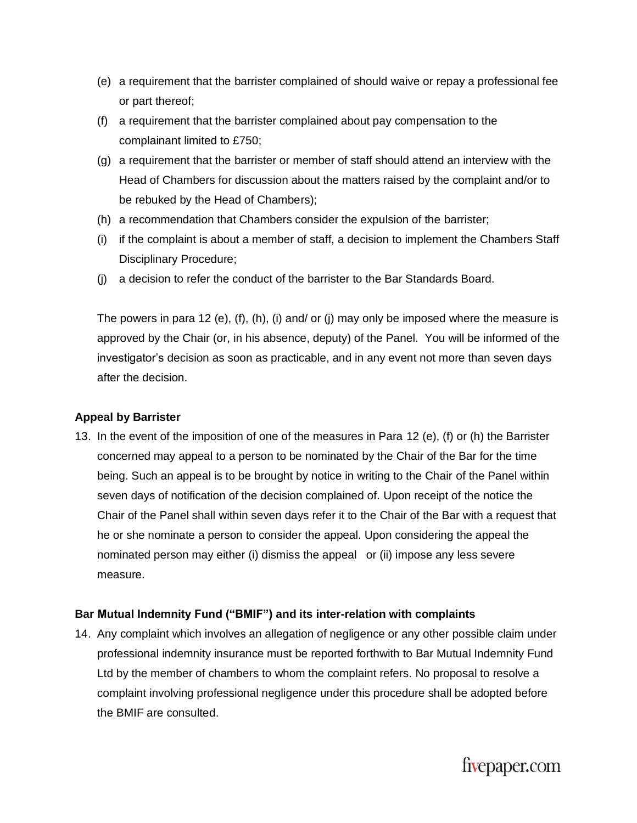- (e) a requirement that the barrister complained of should waive or repay a professional fee or part thereof;
- (f) a requirement that the barrister complained about pay compensation to the complainant limited to £750;
- (g) a requirement that the barrister or member of staff should attend an interview with the Head of Chambers for discussion about the matters raised by the complaint and/or to be rebuked by the Head of Chambers);
- (h) a recommendation that Chambers consider the expulsion of the barrister;
- (i) if the complaint is about a member of staff, a decision to implement the Chambers Staff Disciplinary Procedure;
- (j) a decision to refer the conduct of the barrister to the Bar Standards Board.

The powers in para 12 (e), (f), (h), (i) and/ or (j) may only be imposed where the measure is approved by the Chair (or, in his absence, deputy) of the Panel. You will be informed of the investigator's decision as soon as practicable, and in any event not more than seven days after the decision.

#### **Appeal by Barrister**

13. In the event of the imposition of one of the measures in Para 12 (e), (f) or (h) the Barrister concerned may appeal to a person to be nominated by the Chair of the Bar for the time being. Such an appeal is to be brought by notice in writing to the Chair of the Panel within seven days of notification of the decision complained of. Upon receipt of the notice the Chair of the Panel shall within seven days refer it to the Chair of the Bar with a request that he or she nominate a person to consider the appeal. Upon considering the appeal the nominated person may either (i) dismiss the appeal or (ii) impose any less severe measure.

#### **Bar Mutual Indemnity Fund ("BMIF") and its inter-relation with complaints**

14. Any complaint which involves an allegation of negligence or any other possible claim under professional indemnity insurance must be reported forthwith to Bar Mutual Indemnity Fund Ltd by the member of chambers to whom the complaint refers. No proposal to resolve a complaint involving professional negligence under this procedure shall be adopted before the BMIF are consulted.

fivepaper.com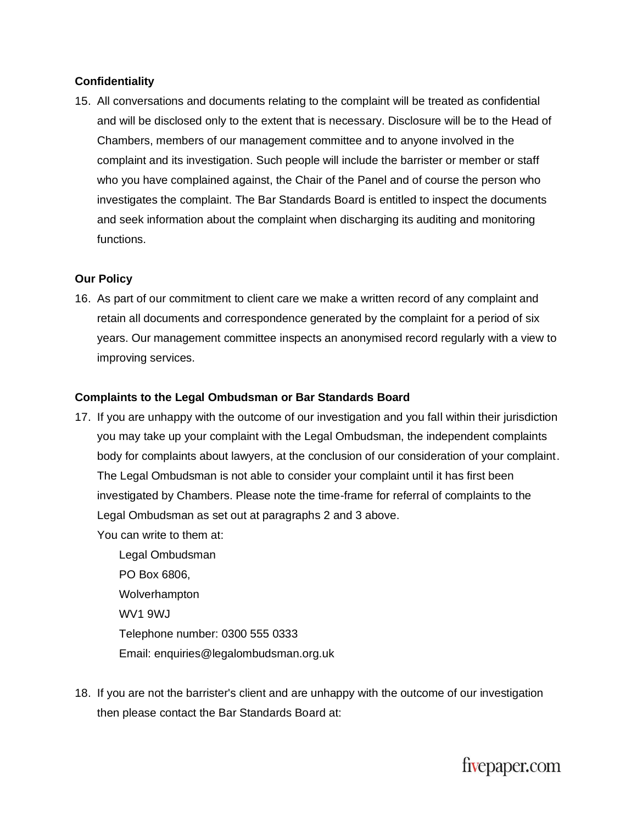## **Confidentiality**

15. All conversations and documents relating to the complaint will be treated as confidential and will be disclosed only to the extent that is necessary. Disclosure will be to the Head of Chambers, members of our management committee and to anyone involved in the complaint and its investigation. Such people will include the barrister or member or staff who you have complained against, the Chair of the Panel and of course the person who investigates the complaint. The Bar Standards Board is entitled to inspect the documents and seek information about the complaint when discharging its auditing and monitoring functions.

#### **Our Policy**

16. As part of our commitment to client care we make a written record of any complaint and retain all documents and correspondence generated by the complaint for a period of six years. Our management committee inspects an anonymised record regularly with a view to improving services.

#### **Complaints to the Legal Ombudsman or Bar Standards Board**

17. If you are unhappy with the outcome of our investigation and you fall within their jurisdiction you may take up your complaint with the Legal Ombudsman, the independent complaints body for complaints about lawyers, at the conclusion of our consideration of your complaint. The Legal Ombudsman is not able to consider your complaint until it has first been investigated by Chambers. Please note the time-frame for referral of complaints to the Legal Ombudsman as set out at paragraphs 2 and 3 above.

You can write to them at:

Legal Ombudsman PO Box 6806, Wolverhampton WV1 9WJ Telephone number: 0300 555 0333 Email: enquiries@legalombudsman.org.uk

18. If you are not the barrister's client and are unhappy with the outcome of our investigation then please contact the Bar Standards Board at:

fivepaper.com